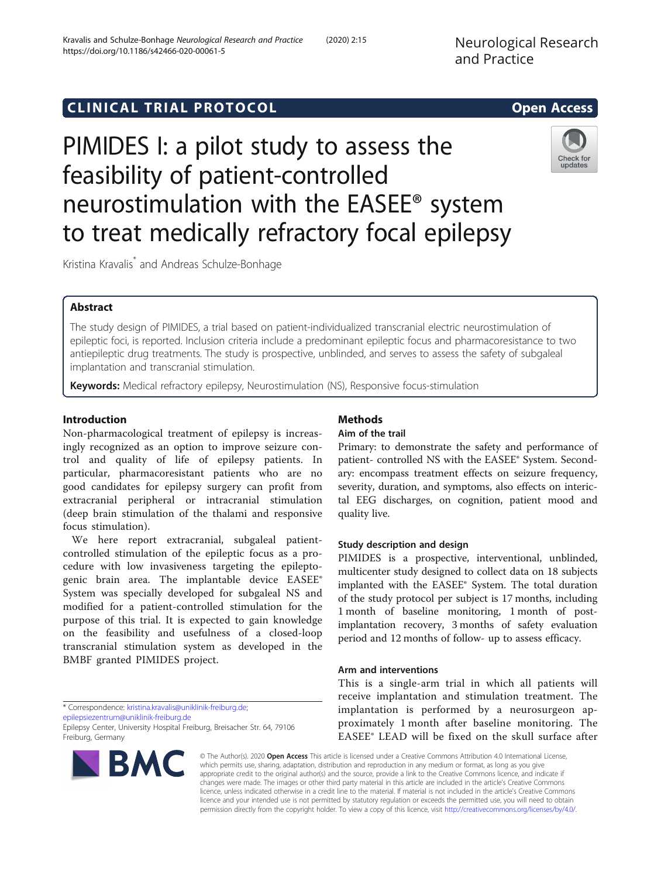# **CLINICAL TRIAL PROTOCOL CLINICAL TRIAL PROTOCOL**

# PIMIDES I: a pilot study to assess the feasibility of patient-controlled neurostimulation with the EASEE® system to treat medically refractory focal epilepsy

Kristina Kravalis\* and Andreas Schulze-Bonhage

# Abstract

The study design of PIMIDES, a trial based on patient-individualized transcranial electric neurostimulation of epileptic foci, is reported. Inclusion criteria include a predominant epileptic focus and pharmacoresistance to two antiepileptic drug treatments. The study is prospective, unblinded, and serves to assess the safety of subgaleal implantation and transcranial stimulation.

Keywords: Medical refractory epilepsy, Neurostimulation (NS), Responsive focus-stimulation

# Introduction

Non-pharmacological treatment of epilepsy is increasingly recognized as an option to improve seizure control and quality of life of epilepsy patients. In particular, pharmacoresistant patients who are no good candidates for epilepsy surgery can profit from extracranial peripheral or intracranial stimulation (deep brain stimulation of the thalami and responsive focus stimulation).

We here report extracranial, subgaleal patientcontrolled stimulation of the epileptic focus as a procedure with low invasiveness targeting the epileptogenic brain area. The implantable device EASEE® System was specially developed for subgaleal NS and modified for a patient-controlled stimulation for the purpose of this trial. It is expected to gain knowledge on the feasibility and usefulness of a closed-loop transcranial stimulation system as developed in the BMBF granted PIMIDES project.

\* Correspondence: [kristina.kravalis@uniklinik-freiburg.de](mailto:kristina.kravalis@uniklinik-freiburg.de); [epilepsiezentrum@uniklinik-freiburg.de](mailto:epilepsiezentrum@uniklinik-freiburg.de)

Epilepsy Center, University Hospital Freiburg, Breisacher Str. 64, 79106 Freiburg, Germany

# **BMC**

© The Author(s). 2020 Open Access This article is licensed under a Creative Commons Attribution 4.0 International License, which permits use, sharing, adaptation, distribution and reproduction in any medium or format, as long as you give appropriate credit to the original author(s) and the source, provide a link to the Creative Commons licence, and indicate if changes were made. The images or other third party material in this article are included in the article's Creative Commons licence, unless indicated otherwise in a credit line to the material. If material is not included in the article's Creative Commons licence and your intended use is not permitted by statutory regulation or exceeds the permitted use, you will need to obtain permission directly from the copyright holder. To view a copy of this licence, visit [http://creativecommons.org/licenses/by/4.0/.](http://creativecommons.org/licenses/by/4.0/)

# quality live.

Methods Aim of the trail

# Study description and design

PIMIDES is a prospective, interventional, unblinded, multicenter study designed to collect data on 18 subjects implanted with the EASEE® System. The total duration of the study protocol per subject is 17 months, including 1 month of baseline monitoring, 1 month of postimplantation recovery, 3 months of safety evaluation period and 12 months of follow- up to assess efficacy.

Primary: to demonstrate the safety and performance of patient- controlled NS with the EASEE® System. Secondary: encompass treatment effects on seizure frequency, severity, duration, and symptoms, also effects on interictal EEG discharges, on cognition, patient mood and

#### Arm and interventions

This is a single-arm trial in which all patients will receive implantation and stimulation treatment. The implantation is performed by a neurosurgeon approximately 1 month after baseline monitoring. The EASEE® LEAD will be fixed on the skull surface after

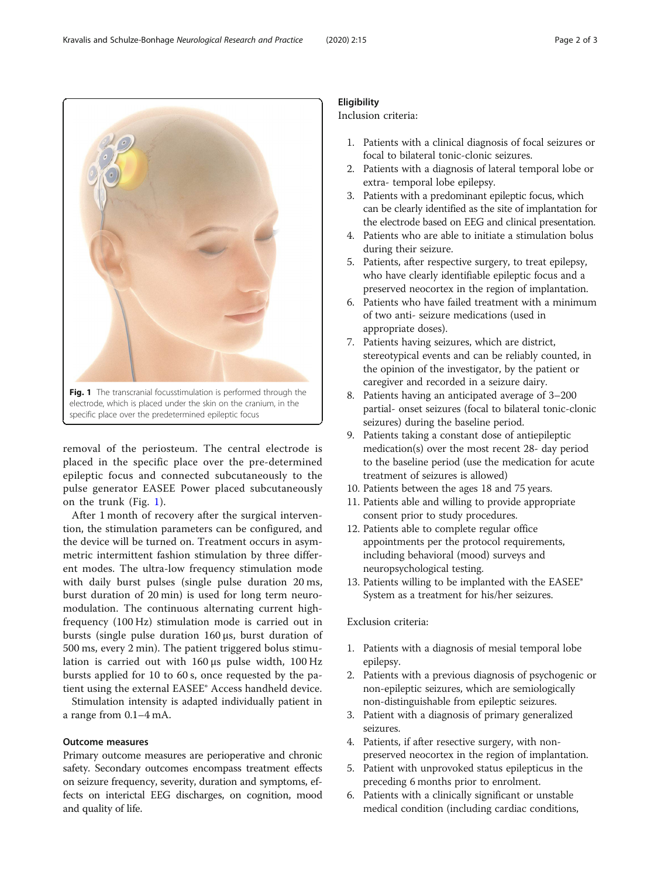removal of the periosteum. The central electrode is placed in the specific place over the pre-determined epileptic focus and connected subcutaneously to the pulse generator EASEE Power placed subcutaneously on the trunk (Fig. 1).

electrode, which is placed under the skin on the cranium, in the

specific place over the predetermined epileptic focus

After 1 month of recovery after the surgical intervention, the stimulation parameters can be configured, and the device will be turned on. Treatment occurs in asymmetric intermittent fashion stimulation by three different modes. The ultra-low frequency stimulation mode with daily burst pulses (single pulse duration 20 ms, burst duration of 20 min) is used for long term neuromodulation. The continuous alternating current highfrequency (100 Hz) stimulation mode is carried out in bursts (single pulse duration 160 μs, burst duration of 500 ms, every 2 min). The patient triggered bolus stimulation is carried out with 160 μs pulse width, 100 Hz bursts applied for 10 to 60 s, once requested by the patient using the external EASEE® Access handheld device.

Stimulation intensity is adapted individually patient in a range from 0.1–4 mA.

# Outcome measures

Primary outcome measures are perioperative and chronic safety. Secondary outcomes encompass treatment effects on seizure frequency, severity, duration and symptoms, effects on interictal EEG discharges, on cognition, mood and quality of life.

# **Eligibility**

Inclusion criteria:

- 1. Patients with a clinical diagnosis of focal seizures or focal to bilateral tonic-clonic seizures.
- 2. Patients with a diagnosis of lateral temporal lobe or extra- temporal lobe epilepsy.
- 3. Patients with a predominant epileptic focus, which can be clearly identified as the site of implantation for the electrode based on EEG and clinical presentation.
- 4. Patients who are able to initiate a stimulation bolus during their seizure.
- 5. Patients, after respective surgery, to treat epilepsy, who have clearly identifiable epileptic focus and a preserved neocortex in the region of implantation.
- 6. Patients who have failed treatment with a minimum of two anti- seizure medications (used in appropriate doses).
- 7. Patients having seizures, which are district, stereotypical events and can be reliably counted, in the opinion of the investigator, by the patient or caregiver and recorded in a seizure dairy.
- 8. Patients having an anticipated average of 3–200 partial- onset seizures (focal to bilateral tonic-clonic seizures) during the baseline period.
- 9. Patients taking a constant dose of antiepileptic medication(s) over the most recent 28- day period to the baseline period (use the medication for acute treatment of seizures is allowed)
- 10. Patients between the ages 18 and 75 years.
- 11. Patients able and willing to provide appropriate consent prior to study procedures.
- 12. Patients able to complete regular office appointments per the protocol requirements, including behavioral (mood) surveys and neuropsychological testing.
- 13. Patients willing to be implanted with the EASEE® System as a treatment for his/her seizures.

# Exclusion criteria:

- 1. Patients with a diagnosis of mesial temporal lobe epilepsy.
- 2. Patients with a previous diagnosis of psychogenic or non-epileptic seizures, which are semiologically non-distinguishable from epileptic seizures.
- 3. Patient with a diagnosis of primary generalized seizures.
- 4. Patients, if after resective surgery, with nonpreserved neocortex in the region of implantation.
- 5. Patient with unprovoked status epilepticus in the preceding 6 months prior to enrolment.
- 6. Patients with a clinically significant or unstable medical condition (including cardiac conditions,